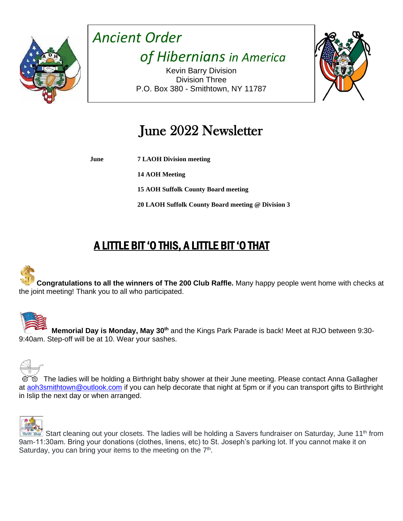

*Ancient Order of Hibernians in America*

Kevin Barry Division Division Three P.O. Box 380 - Smithtown, NY 11787



# June 2022 Newsletter

**June 7 LAOH Division meeting**

**14 AOH Meeting**

**15 AOH Suffolk County Board meeting**

**20 LAOH Suffolk County Board meeting @ Division 3**

## A LITTLE BIT 'O THIS, A LITTLE BIT 'O THAT



**Congratulations to all the winners of The 200 Club Raffle.** Many happy people went home with checks at the joint meeting! Thank you to all who participated.



 **Memorial Day is Monday, May 30th** and the Kings Park Parade is back! Meet at RJO between 9:30- 9:40am. Step-off will be at 10. Wear your sashes.



The ladies will be holding a Birthright baby shower at their June meeting. Please contact Anna Gallagher at [aoh3smithtown@outlook.com](mailto:aoh3smithtown@outlook.com) if you can help decorate that night at 5pm or if you can transport gifts to Birthright in Islip the next day or when arranged.



Start cleaning out your closets. The ladies will be holding a Savers fundraiser on Saturday, June 11<sup>th</sup> from 9am-11:30am. Bring your donations (clothes, linens, etc) to St. Joseph's parking lot. If you cannot make it on Saturday, you can bring your items to the meeting on the  $7<sup>th</sup>$ .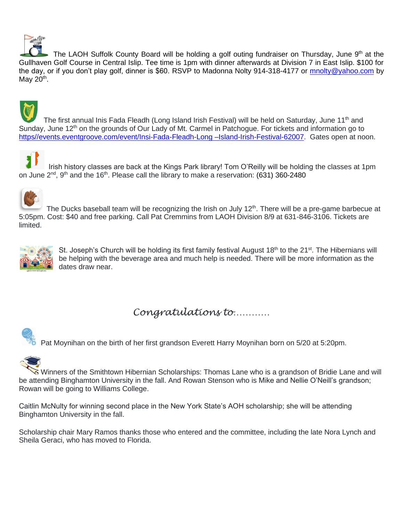

The LAOH Suffolk County Board will be holding a golf outing fundraiser on Thursday, June 9th at the Gullhaven Golf Course in Central Islip. Tee time is 1pm with dinner afterwards at Division 7 in East Islip. \$100 for the day, or if you don't play golf, dinner is \$60. RSVP to Madonna Nolty 914-318-4177 or [mnolty@yahoo.com](mailto:mnolty@yahoo.com) by May  $20<sup>th</sup>$ .

The first annual Inis Fada Fleadh (Long Island Irish Festival) will be held on Saturday, June 11<sup>th</sup> and Sunday, June 12<sup>th</sup> on the grounds of Our Lady of Mt. Carmel in Patchogue. For tickets and information go to [https//events.eventgroove.com/event/Insi-Fada-Fleadh-Long –Island-Irish-Festival-62007.](LAOH%20Suffolk%20County%20Calendar%20April%202022.docx) Gates open at noon.

 Irish history classes are back at the Kings Park library! Tom O'Reilly will be holding the classes at 1pm on June  $2^{nd}$ ,  $9^{th}$  and the 16<sup>th</sup>. Please call the library to make a reservation: (631) 360-2480



The Ducks baseball team will be recognizing the Irish on July 12<sup>th</sup>. There will be a pre-game barbecue at 5:05pm. Cost: \$40 and free parking. Call Pat Cremmins from LAOH Division 8/9 at 631-846-3106. Tickets are limited.



St. Joseph's Church will be holding its first family festival August 18<sup>th</sup> to the 21<sup>st</sup>. The Hibernians will be helping with the beverage area and much help is needed. There will be more information as the dates draw near.

## *Congratulations to…………*





Winners of the Smithtown Hibernian Scholarships: Thomas Lane who is a grandson of Bridie Lane and will be attending Binghamton University in the fall. And Rowan Stenson who is Mike and Nellie O'Neill's grandson; Rowan will be going to Williams College.

Caitlin McNulty for winning second place in the New York State's AOH scholarship; she will be attending Binghamton University in the fall.

Scholarship chair Mary Ramos thanks those who entered and the committee, including the late Nora Lynch and Sheila Geraci, who has moved to Florida.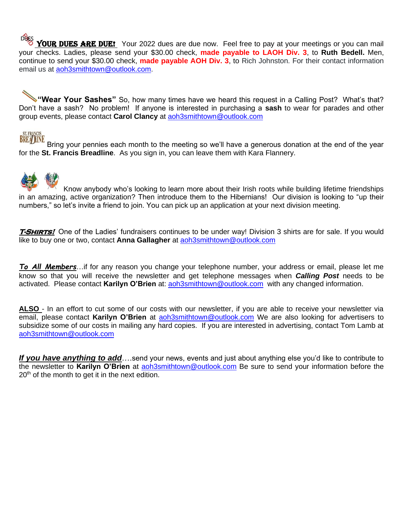Dues YOUR DUES ARE DUE! Your 2022 dues are due now. Feel free to pay at your meetings or you can mail your checks. Ladies, please send your \$30.00 check, **made payable to LAOH Div. 3**, to **Ruth Bedell.** Men, continue to send your \$30.00 check, **made payable AOH Div. 3**, to Rich Johnston. For their contact information email us at [aoh3smithtown@outlook.com.](mailto:aoh3smithtown@outlook.com)

**"Wear Your Sashes"** So, how many times have we heard this request in a Calling Post? What's that? Don't have a sash? No problem! If anyone is interested in purchasing a **sash** to wear for parades and other group events, please contact **Carol Clancy** at [aoh3smithtown@outlook.com](mailto:aoh3smithtown@outlook.com)

BREADINE Bring your pennies each month to the meeting so we'll have a generous donation at the end of the year for the **St. Francis Breadline**. As you sign in, you can leave them with Kara Flannery.



Know anybody who's looking to learn more about their Irish roots while building lifetime friendships in an amazing, active organization? Then introduce them to the Hibernians! Our division is looking to "up their numbers," so let's invite a friend to join. You can pick up an application at your next division meeting.

**T-Shirts!** One of the Ladies' fundraisers continues to be under way! Division 3 shirts are for sale. If you would like to buy one or two, contact **Anna Gallagher** at [aoh3smithtown@outlook.com](mailto:aoh3smithtown@outlook.com)

*To All Members*…if for any reason you change your telephone number, your address or email, please let me know so that you will receive the newsletter and get telephone messages when *Calling Post* needs to be activated. Please contact **Karilyn O'Brien** at: [aoh3smithtown@outlook.com](mailto:aoh3smithtown@outlook.com) with any changed information.

**ALSO** - In an effort to cut some of our costs with our newsletter, if you are able to receive your newsletter via email, please contact **Karilyn O'Brien** at [aoh3smithtown@outlook.com](mailto:aoh3smithtown@outlook.com) We are also looking for advertisers to subsidize some of our costs in mailing any hard copies. If you are interested in advertising, contact Tom Lamb at [aoh3smithtown@outlook.com](mailto:aoh3smithtown@outlook.com)

*If you have anything to add*….send your news, events and just about anything else you'd like to contribute to the newsletter to **Karilyn O'Brien** at [aoh3smithtown@outlook.com](mailto:aoh3smithtown@outlook.com) Be sure to send your information before the  $20<sup>th</sup>$  of the month to get it in the next edition.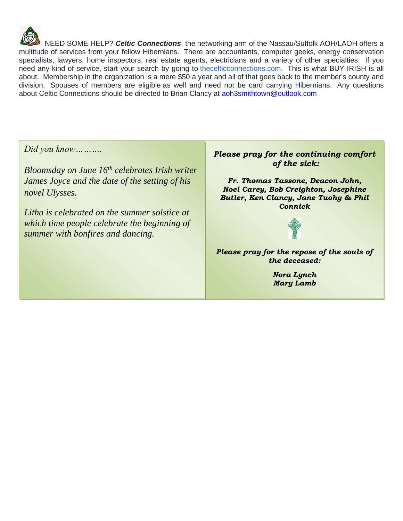

NEED SOME HELP? *Celtic Connections*, the networking arm of the Nassau/Suffolk AOH/LAOH offers a multitude of services from your fellow Hibernians. There are accountants, computer geeks, energy conservation specialists, lawyers. home inspectors, real estate agents, electricians and a variety of other specialties. If you need any kind of service, start your search by going to *thecelticconnections.com*. This is what BUY IRISH is all about. Membership in the organization is a mere \$50 a year and all of that goes back to the member's county and division. Spouses of members are eligible as well and need not be card carrying Hibernians. Any questions about Celtic Connections should be directed to Brian Clancy at [aoh3smithtown@outlook.com](mailto:aoh3smithtown@outlook.com)

*Did you know……….*

*Bloomsday on June 16th celebrates Irish writer James Joyce and the date of the setting of his novel Ulysses.*

*Litha is celebrated on the summer solstice at which time people celebrate the beginning of summer with bonfires and dancing.* 

#### *Please pray for the continuing comfort of the sick:*

*Fr. Thomas Tassone, Deacon John, Noel Carey, Bob Creighton, Josephine Butler, Ken Clancy, Jane Tuohy & Phil Connick*



*Please pray for the repose of the souls of the deceased:*

> *Nora Lynch Mary Lamb*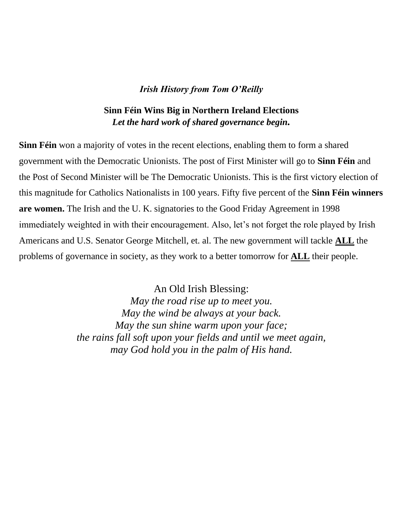#### *Irish History from Tom O'Reilly*

### **Sinn Féin Wins Big in Northern Ireland Elections** *Let the hard work of shared governance begin.*

**Sinn Féin** won a majority of votes in the recent elections, enabling them to form a shared government with the Democratic Unionists. The post of First Minister will go to **Sinn Féin** and the Post of Second Minister will be The Democratic Unionists. This is the first victory election of this magnitude for Catholics Nationalists in 100 years. Fifty five percent of the **Sinn Féin winners are women.** The Irish and the U. K. signatories to the Good Friday Agreement in 1998 immediately weighted in with their encouragement. Also, let's not forget the role played by Irish Americans and U.S. Senator George Mitchell, et. al. The new government will tackle **ALL** the problems of governance in society, as they work to a better tomorrow for **ALL** their people.

> An Old Irish Blessing: *May the road rise up to meet you. May the wind be always at your back. May the sun shine warm upon your face; the rains fall soft upon your fields and until we meet again, may God hold you in the palm of His hand.*